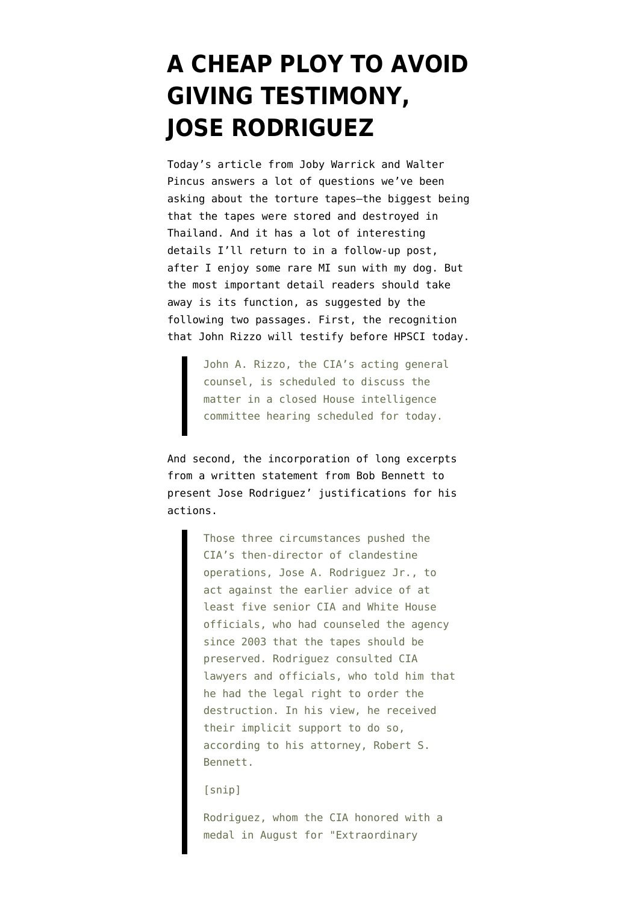## **[A CHEAP PLOY TO AVOID](https://www.emptywheel.net/2008/01/16/a-cheap-ploy-to-avoid-giving-testimony-jose-rodriguez/) [GIVING TESTIMONY,](https://www.emptywheel.net/2008/01/16/a-cheap-ploy-to-avoid-giving-testimony-jose-rodriguez/) [JOSE RODRIGUEZ](https://www.emptywheel.net/2008/01/16/a-cheap-ploy-to-avoid-giving-testimony-jose-rodriguez/)**

Today's [article from Joby Warrick and Walter](http://www.washingtonpost.com/wp-dyn/content/article/2008/01/15/AR2008011504090.html) [Pincus](http://www.washingtonpost.com/wp-dyn/content/article/2008/01/15/AR2008011504090.html) answers a lot of questions we've been asking about the torture tapes–the biggest being that the tapes were stored and destroyed in Thailand. And it has a lot of interesting details I'll return to in a follow-up post, after I enjoy some rare MI sun with my dog. But the most important detail readers should take away is its function, as suggested by the following two passages. First, the recognition that John Rizzo will testify before HPSCI today.

> John A. Rizzo, the CIA's acting general counsel, is scheduled to discuss the matter in a closed House intelligence committee hearing scheduled for today.

And second, the incorporation of long excerpts from a written statement from Bob Bennett to present Jose Rodriguez' justifications for his actions.

> Those three circumstances pushed the CIA's then-director of clandestine operations, Jose A. Rodriguez Jr., to act against the earlier advice of at least five senior CIA and White House officials, who had counseled the agency since 2003 that the tapes should be preserved. Rodriguez consulted CIA lawyers and officials, who told him that he had the legal right to order the destruction. In his view, he received their implicit support to do so, according to his attorney, Robert S. Bennett.

[snip]

Rodriguez, whom the CIA honored with a medal in August for "Extraordinary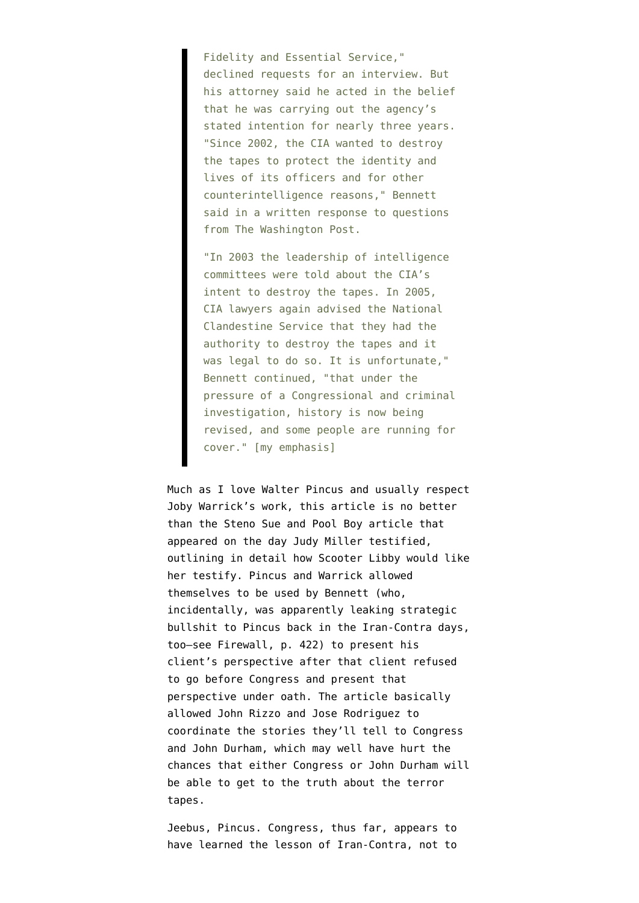Fidelity and Essential Service," declined requests for an interview. But his attorney said he acted in the belief that he was carrying out the agency's stated intention for nearly three years. "Since 2002, the CIA wanted to destroy the tapes to protect the identity and lives of its officers and for other counterintelligence reasons," Bennett said in a written response to questions from The Washington Post.

"In 2003 the leadership of intelligence committees were told about the CIA's intent to destroy the tapes. In 2005, CIA lawyers again advised the National Clandestine Service that they had the authority to destroy the tapes and it was legal to do so. It is unfortunate," Bennett continued, "that under the pressure of a Congressional and criminal investigation, history is now being revised, and some people are running for cover." [my emphasis]

Much as I love Walter Pincus and usually respect Joby Warrick's work, this article is no better than the [Steno Sue and Pool Boy article](http://www.washingtonpost.com/wp-dyn/content/article/2005/10/19/AR2005101900795.html) that appeared on the day Judy Miller testified, outlining in detail how Scooter Libby would like her testify. Pincus and Warrick allowed themselves to be used by Bennett (who, incidentally, was apparently leaking strategic bullshit to Pincus back in the Iran-Contra days, too–see [Firewall,](http://books.google.com/books?id=0eE5A-yt88MC&dq=firewall+lawrence+walsh&pg=PP1&ots=qFDj-8FQgr&sig=hPgAgIYCTB6cPcE82zlEm-KF5TI&hl=en&prev=http://www.google.com/search?q=firewall+lawrence+walsh&ie=utf-8&oe=utf-8&rls=org.mozilla:en-US:official&client=firefox-a&sa=X&oi=print&ct=title&cad=one-book-with-thumbnail) p. 422) to present his client's perspective after that client refused to go before Congress and present that perspective under oath. The article basically allowed John Rizzo and Jose Rodriguez to coordinate the stories they'll tell to Congress and John Durham, which may well have hurt the chances that either Congress or John Durham will be able to get to the truth about the terror tapes.

Jeebus, Pincus. Congress, thus far, [appears to](http://emptywheel.firedoglake.com/2008/01/15/no-immunity-yet-for-rodriguez/) [have learned](http://emptywheel.firedoglake.com/2008/01/15/no-immunity-yet-for-rodriguez/) the lesson of Iran-Contra, not to